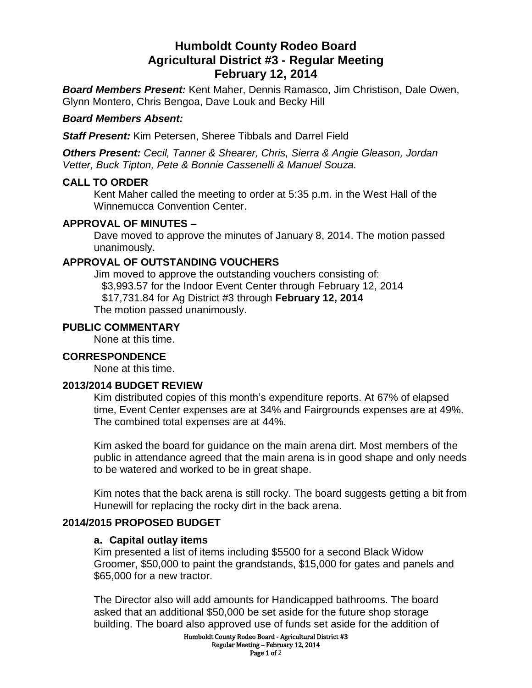# **Humboldt County Rodeo Board Agricultural District #3 - Regular Meeting February 12, 2014**

*Board Members Present:* Kent Maher, Dennis Ramasco, Jim Christison, Dale Owen, Glynn Montero, Chris Bengoa, Dave Louk and Becky Hill

## *Board Members Absent:*

*Staff Present:* Kim Petersen, Sheree Tibbals and Darrel Field

*Others Present: Cecil, Tanner & Shearer, Chris, Sierra & Angie Gleason, Jordan Vetter, Buck Tipton, Pete & Bonnie Cassenelli & Manuel Souza.*

#### **CALL TO ORDER**

Kent Maher called the meeting to order at 5:35 p.m. in the West Hall of the Winnemucca Convention Center.

#### **APPROVAL OF MINUTES –**

Dave moved to approve the minutes of January 8, 2014. The motion passed unanimously.

## **APPROVAL OF OUTSTANDING VOUCHERS**

Jim moved to approve the outstanding vouchers consisting of: \$3,993.57 for the Indoor Event Center through February 12, 2014 \$17,731.84 for Ag District #3 through **February 12, 2014** The motion passed unanimously.

#### **PUBLIC COMMENTARY**

None at this time.

#### **CORRESPONDENCE**

None at this time.

#### **2013/2014 BUDGET REVIEW**

Kim distributed copies of this month's expenditure reports. At 67% of elapsed time, Event Center expenses are at 34% and Fairgrounds expenses are at 49%. The combined total expenses are at 44%.

Kim asked the board for guidance on the main arena dirt. Most members of the public in attendance agreed that the main arena is in good shape and only needs to be watered and worked to be in great shape.

Kim notes that the back arena is still rocky. The board suggests getting a bit from Hunewill for replacing the rocky dirt in the back arena.

## **2014/2015 PROPOSED BUDGET**

#### **a. Capital outlay items**

Kim presented a list of items including \$5500 for a second Black Widow Groomer, \$50,000 to paint the grandstands, \$15,000 for gates and panels and \$65,000 for a new tractor.

The Director also will add amounts for Handicapped bathrooms. The board asked that an additional \$50,000 be set aside for the future shop storage building. The board also approved use of funds set aside for the addition of

> Humboldt County Rodeo Board - Agricultural District #3 Regular Meeting – February 12, 2014 Page 1 of 2